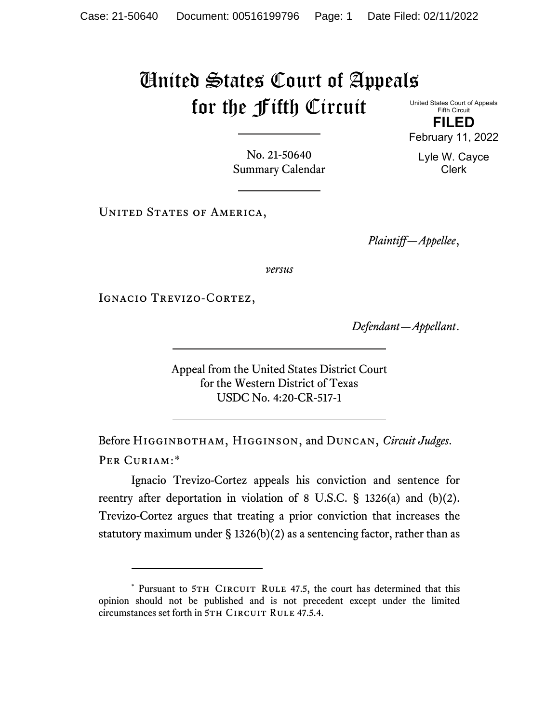## United States Court of Appeals for the Fifth Circuit United States Court of Appeals

Fifth Circuit **FILED**

February 11, 2022

Lyle W. Cayce Clerk

No. 21-50640 Summary Calendar

UNITED STATES OF AMERICA,

*Plaintiff—Appellee*,

*versus*

IGNACIO TREVIZO-CORTEZ,

*Defendant—Appellant*.

Appeal from the United States District Court for the Western District of Texas USDC No. 4:20-CR-517-1

Before Higginbotham, Higginson, and Duncan, *Circuit Judges*. Per Curiam:[\\*](#page-0-0)

Ignacio Trevizo-Cortez appeals his conviction and sentence for reentry after deportation in violation of 8 U.S.C. § 1326(a) and (b)(2). Trevizo-Cortez argues that treating a prior conviction that increases the statutory maximum under  $\S$  1326(b)(2) as a sentencing factor, rather than as

<span id="page-0-0"></span><sup>\*</sup> Pursuant to 5TH CIRCUIT RULE 47.5, the court has determined that this opinion should not be published and is not precedent except under the limited circumstances set forth in 5TH CIRCUIT RULE 47.5.4.